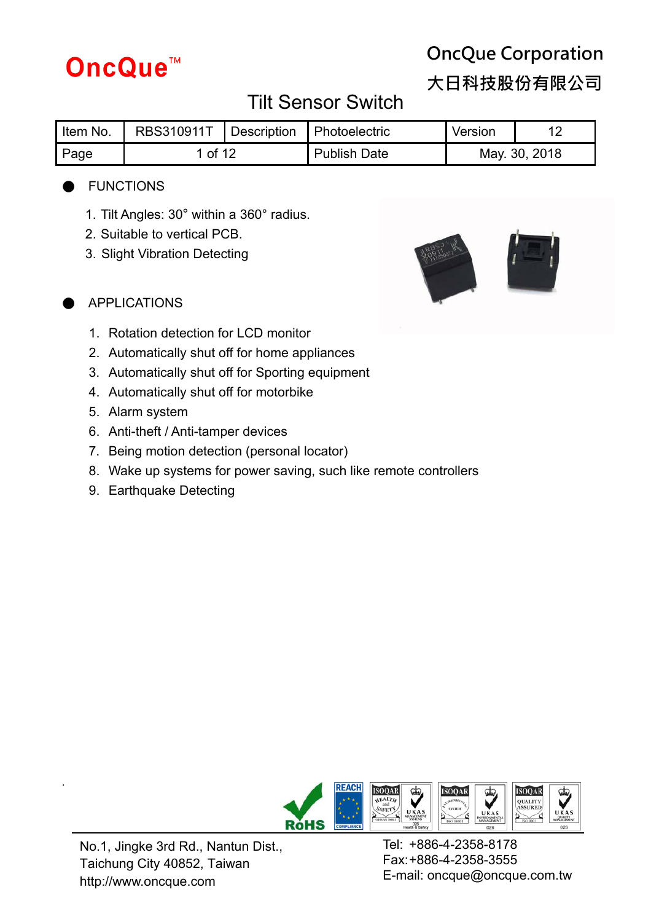

**大日科技股份有限公司**

# Tilt Sensor Switch

| Item No. | RBS310911T   Description   Photoelectric |  |                     | Version |               |
|----------|------------------------------------------|--|---------------------|---------|---------------|
| Page     | 1 of 12                                  |  | <b>Publish Date</b> |         | May. 30, 2018 |

### **FUNCTIONS**

- 1. Tilt Angles: 30° within a 360° radius.
- 2. Suitable to vertical PCB.
- 3. Slight Vibration Detecting



- **APPLICATIONS** 
	- 1. Rotation detection for LCD monitor
	- 2. Automatically shut off for home appliances
	- 3. Automatically shut off for Sporting equipment
	- 4. Automatically shut off for motorbike
	- 5. Alarm system
	- 6. Anti-theft / Anti-tamper devices
	- 7. Being motion detection (personal locator)
	- 8. Wake up systems for power saving, such like remote controllers
	- 9. Earthquake Detecting



No.1, Jingke 3rd Rd., Nantun Dist., Taichung City 40852, Taiwan http://www.oncque.com

.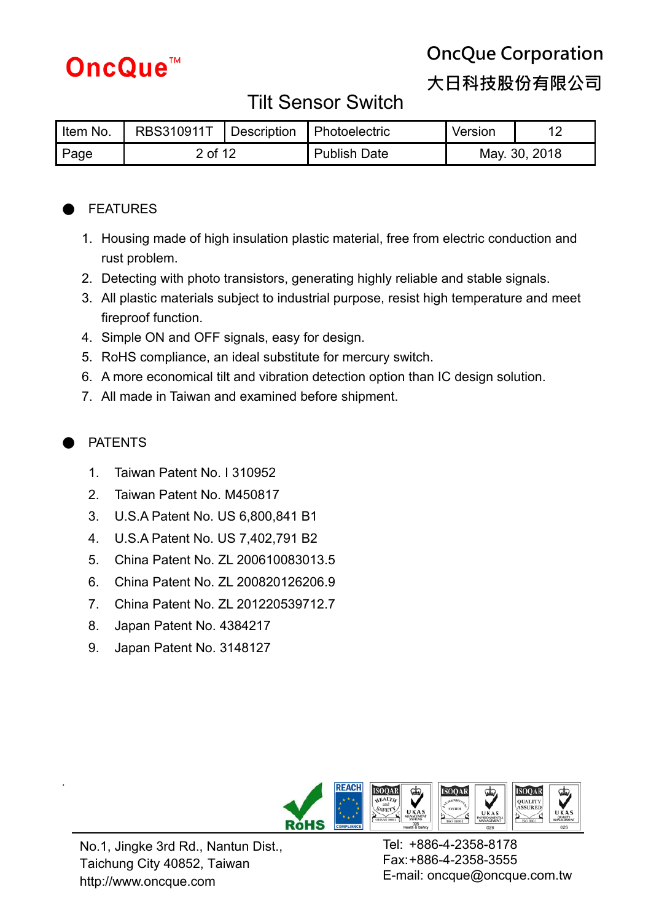

# **OncQue Corporation 大日科技股份有限公司**

### Tilt Sensor Switch

| Item No. | RBS310911T   Description   Photoelectric |  |              | Version       |  |
|----------|------------------------------------------|--|--------------|---------------|--|
| Page     | 2 of 12                                  |  | Publish Date | May. 30, 2018 |  |

### **FEATURES**

- 1. Housing made of high insulation plastic material, free from electric conduction and rust problem.
- 2. Detecting with photo transistors, generating highly reliable and stable signals.
- 3. All plastic materials subject to industrial purpose, resist high temperature and meet fireproof function.
- 4. Simple ON and OFF signals, easy for design.
- 5. RoHS compliance, an ideal substitute for mercury switch.
- 6. A more economical tilt and vibration detection option than IC design solution.
- 7. All made in Taiwan and examined before shipment.

### **PATENTS**

.

- 1. Taiwan Patent No. I 310952
- 2. Taiwan Patent No. M450817
- 3. U.S.A Patent No. US 6,800,841 B1
- 4. U.S.A Patent No. US 7,402,791 B2
- 5. China Patent No. ZL 200610083013.5
- 6. China Patent No. ZL 200820126206.9
- 7. China Patent No. ZL 201220539712.7
- 8. Japan Patent No. 4384217
- 9. Japan Patent No. 3148127



No.1, Jingke 3rd Rd., Nantun Dist., Taichung City 40852, Taiwan http://www.oncque.com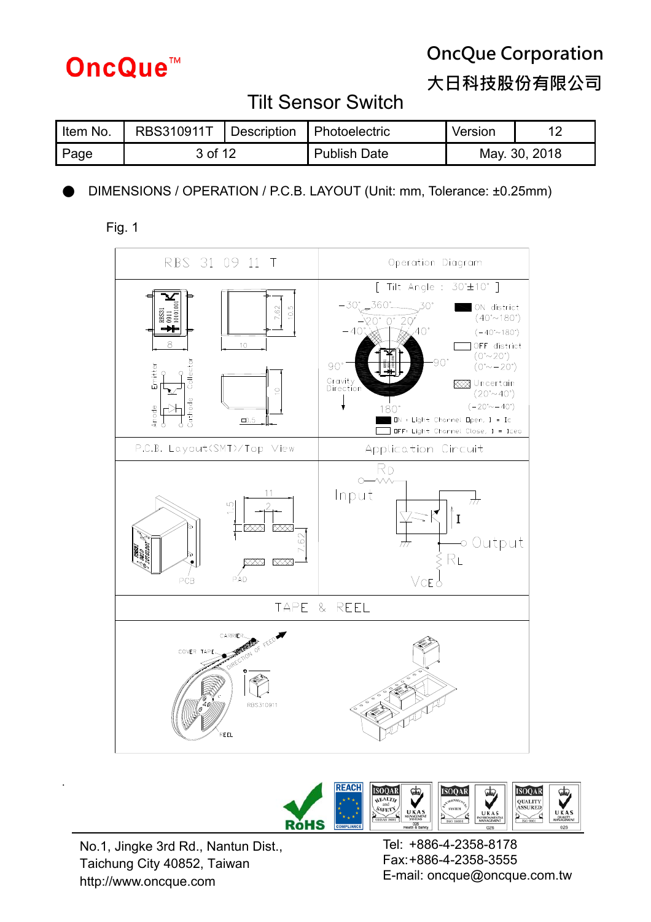

**大日科技股份有限公司**

### Tilt Sensor Switch

| Item No. | RBS310911T   Description   Photoelectric |  |                     | Version       |  |
|----------|------------------------------------------|--|---------------------|---------------|--|
| Page     | 3 of 12                                  |  | <b>Publish Date</b> | May. 30, 2018 |  |

DIMENSIONS / OPERATION / P.C.B. LAYOUT (Unit: mm, Tolerance: ±0.25mm)







No.1, Jingke 3rd Rd., Nantun Dist., Taichung City 40852, Taiwan http://www.oncque.com

.

Tel: +886-4-2358-8178 Fax: +886-4-2358-3555 E-mail: oncque@oncque.com.tw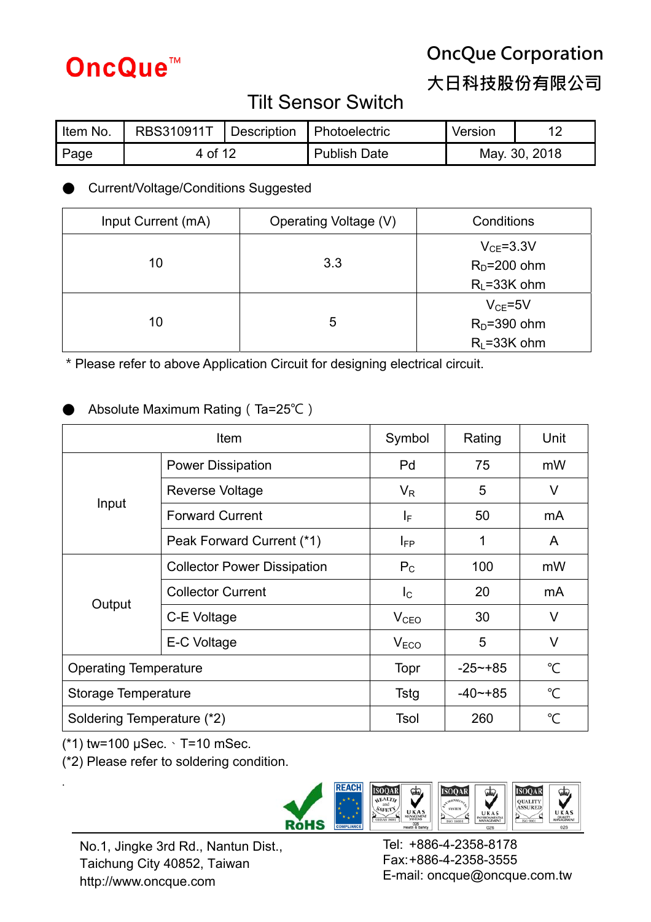

**大日科技股份有限公司**

## Tilt Sensor Switch

| Item No. | RBS310911T | Description | <b>Photoelectric</b> | Version       |  |
|----------|------------|-------------|----------------------|---------------|--|
| Page     | 4 of 12    |             | <b>Publish Date</b>  | May. 30, 2018 |  |

### ● Current/Voltage/Conditions Suggested

| Input Current (mA) | Operating Voltage (V) | Conditions      |  |
|--------------------|-----------------------|-----------------|--|
|                    |                       | $V_{CE} = 3.3V$ |  |
| 10                 | 3.3                   | $RD=200$ ohm    |  |
|                    |                       | $R_L = 33K$ ohm |  |
|                    |                       | $V_{CF} = 5V$   |  |
| 10                 | 5                     | $RD=390$ ohm    |  |
|                    |                       | $R1 = 33K$ ohm  |  |

\*Please refer to above Application Circuit for designing electrical circuit.

### Absolute Maximum Rating (Ta=25℃)

|                              | Symbol                             | Rating           | Unit                 |                |
|------------------------------|------------------------------------|------------------|----------------------|----------------|
|                              | <b>Power Dissipation</b>           | Pd               | 75                   | mW             |
|                              | <b>Reverse Voltage</b>             | $V_{R}$          | 5                    | V              |
| Input                        | <b>Forward Current</b>             | IF.              | 50                   | mA             |
|                              | Peak Forward Current (*1)          | $I_{FP}$         | 1                    | A              |
|                              | <b>Collector Power Dissipation</b> | $P_{C}$          | 100                  | mW             |
|                              | <b>Collector Current</b>           | $I_{\rm C}$      | 20                   | m <sub>A</sub> |
| Output                       | C-E Voltage                        | V <sub>CEO</sub> | 30                   | V              |
|                              | E-C Voltage                        | V <sub>ECO</sub> | 5                    | $\vee$         |
| <b>Operating Temperature</b> | Topr                               | $-25 - +85$      | $\mathrm{C}$         |                |
| Storage Temperature          | Tstg                               | $-40$ $-185$     | $\mathrm{C}^{\circ}$ |                |
| Soldering Temperature (*2)   | Tsol                               | 260              | °C                   |                |

(\*1) tw=100 μSec.、T=10 mSec.

.

(\*2) Please refer to soldering condition.



No.1, Jingke 3rd Rd., Nantun Dist., Taichung City 40852, Taiwan http://www.oncque.com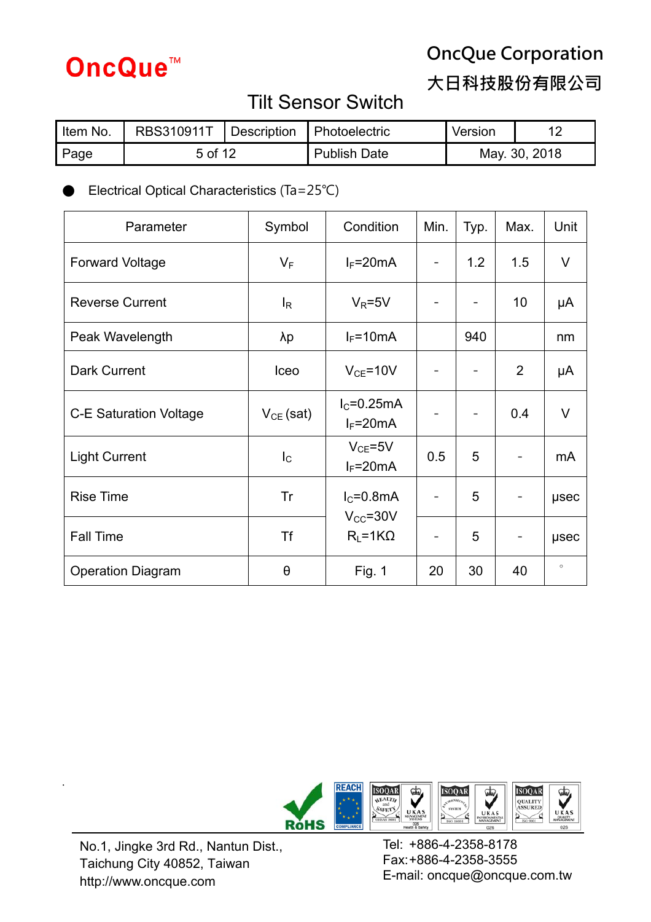

**大日科技股份有限公司**

# Tilt Sensor Switch

| Item No. | RBS310911T |  | Description Photoelectric | Version       |  |
|----------|------------|--|---------------------------|---------------|--|
| Page     | 5 of 12    |  | <b>Publish Date</b>       | May. 30, 2018 |  |

Electrical Optical Characteristics (Ta=25℃)

| Parameter                     | Symbol         | Condition                       | Min. | Typ. | Max. | Unit    |
|-------------------------------|----------------|---------------------------------|------|------|------|---------|
| <b>Forward Voltage</b>        | $V_F$          | $I_F = 20mA$                    |      | 1.2  | 1.5  | V       |
| <b>Reverse Current</b>        | $I_R$          | $V_R = 5V$                      |      |      | 10   | μA      |
| Peak Wavelength               | λp             | $I_F = 10mA$                    |      | 940  |      | nm      |
| Dark Current                  | Iceo           | $V_{CE} = 10V$                  |      |      | 2    | μA      |
| <b>C-E Saturation Voltage</b> | $V_{CE}$ (sat) | $I_{C}$ =0.25mA<br>$I_F = 20mA$ |      |      | 0.4  | $\vee$  |
| <b>Light Current</b>          | $I_{\rm C}$    | $V_{CE} = 5V$<br>$I_F = 20mA$   | 0.5  | 5    | -    | mA      |
| <b>Rise Time</b>              | Tr             | $IC=0.8mA$<br>$V_{CC} = 30V$    |      | 5    |      | usec    |
| <b>Fall Time</b>              | Τf             | $R_L = 1K\Omega$                |      | 5    |      | usec    |
| <b>Operation Diagram</b>      | θ              | Fig. 1                          | 20   | 30   | 40   | $\circ$ |



No.1, Jingke 3rd Rd., Nantun Dist., Taichung City 40852, Taiwan http://www.oncque.com

.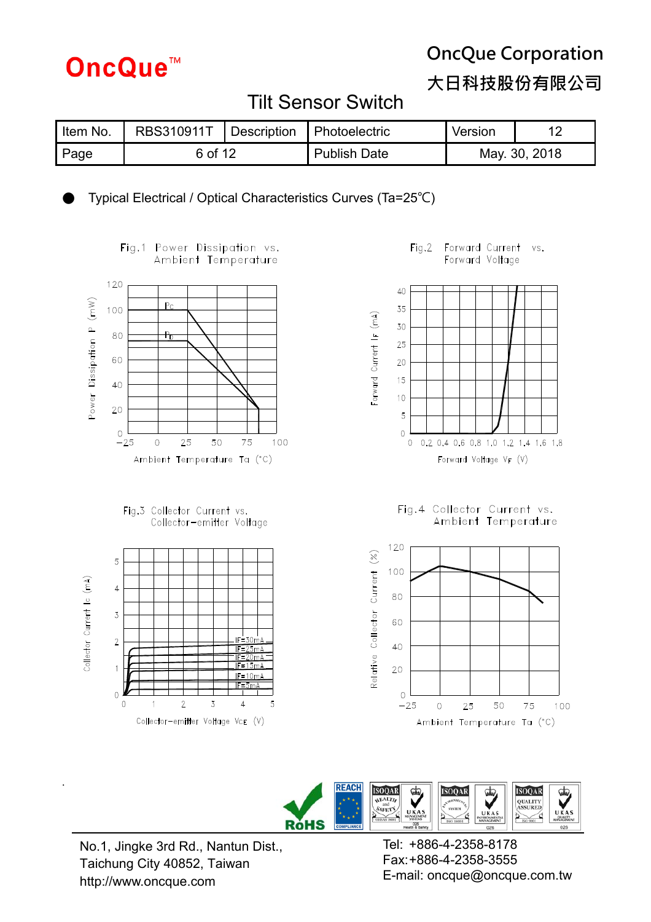

**大日科技股份有限公司**

### Tilt Sensor Switch

| Item No. | RBS310911T | Description | <b>Photoelectric</b> | Version |               |
|----------|------------|-------------|----------------------|---------|---------------|
| Page     | 6 of 12    |             | <b>Publish Date</b>  |         | May. 30, 2018 |

Typical Electrical / Optical Characteristics Curves (Ta=25°C)



Fig.1 Power Dissipation vs. Ambient Temperature





Fig.2 Forward Current vs. Forward Voltage



Fig.4 Collector Current vs.<br>Ambient Temperature





No.1, Jingke 3rd Rd., Nantun Dist., Taichung City 40852, Taiwan http://www.oncque.com

.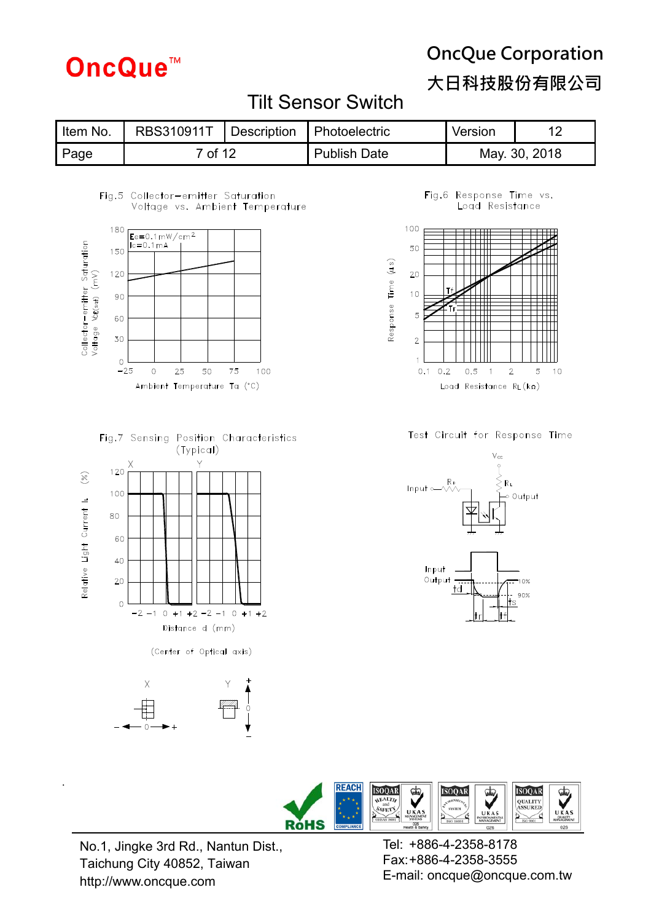# **OncQue™**

# **OncQue Corporation**

**大日科技股份有限公司**

### Tilt Sensor Switch

| Item No. | RBS310911T   Description   Photoelectric |  |              | Version |               |
|----------|------------------------------------------|--|--------------|---------|---------------|
| Page     | <sup>7</sup> of 12                       |  | Publish Date |         | May. 30, 2018 |

#### Fig.5 Collector-emitter Saturation Voltage vs. Ambient Temperature



#### Fig.7 Sensing Position Characteristics (Typical)











#### Test Circuit for Response Time





No.1, Jingke 3rd Rd., Nantun Dist., Taichung City 40852, Taiwan http://www.oncque.com

.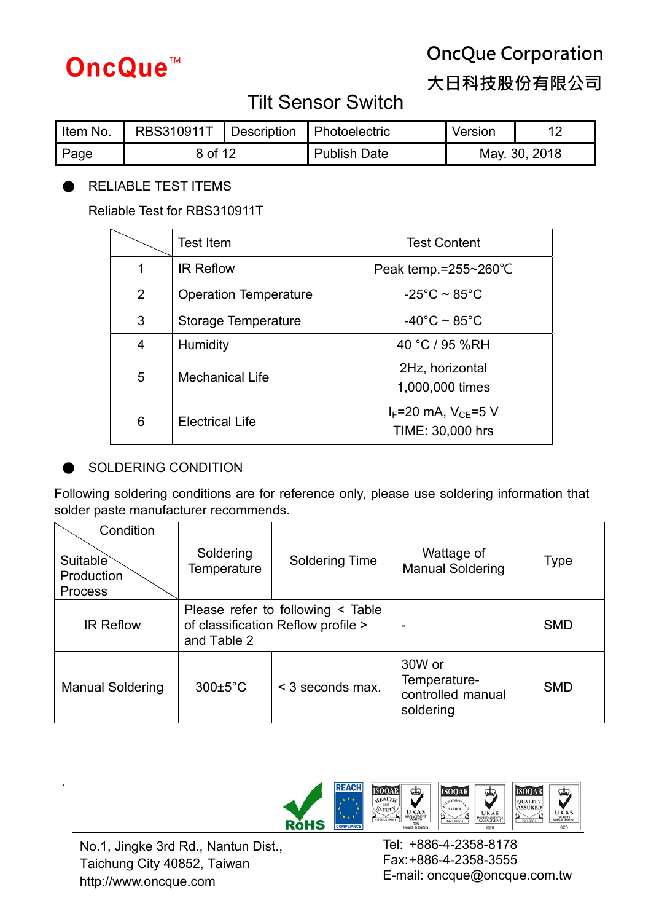

**大日科技股份有限公司**

# Tilt Sensor Switch

| Item No. | <b>RBS310911T</b> | Description | <b>Photoelectric</b> | Version       |  |
|----------|-------------------|-------------|----------------------|---------------|--|
| Page     | 8 of 12           |             | <b>Publish Date</b>  | May. 30, 2018 |  |

### RELIABLE TEST ITEMS

Reliable Test for RBS310911T

|                | Test Item                    | <b>Test Content</b>                             |
|----------------|------------------------------|-------------------------------------------------|
| 1              | <b>IR Reflow</b>             | Peak temp. $= 255 - 260^{\circ}$ C              |
| $\overline{2}$ | <b>Operation Temperature</b> | $-25^{\circ}$ C ~ 85 $^{\circ}$ C               |
| 3              | Storage Temperature          | $-40^{\circ}$ C ~ 85 $^{\circ}$ C               |
| $\overline{4}$ | <b>Humidity</b>              | 40 °C / 95 %RH                                  |
| 5              | <b>Mechanical Life</b>       | 2Hz, horizontal<br>1,000,000 times              |
| 6              | <b>Electrical Life</b>       | $I_F$ =20 mA, $V_{CF}$ =5 V<br>TIME: 30,000 hrs |

### SOLDERING CONDITION

Following soldering conditions are for reference only, please use soldering information that solder paste manufacturer recommends.

| Condition<br>Suitable<br>Production<br><b>Process</b> | Soldering<br>Temperature | <b>Soldering Time</b>                                                        | Wattage of<br><b>Manual Soldering</b>                    | <b>Type</b> |
|-------------------------------------------------------|--------------------------|------------------------------------------------------------------------------|----------------------------------------------------------|-------------|
| <b>IR Reflow</b>                                      | and Table 2              | Please refer to following $\leq$ Table<br>of classification Reflow profile > |                                                          | <b>SMD</b>  |
| <b>Manual Soldering</b>                               | $300 \pm 5^{\circ}$ C    | < 3 seconds max.                                                             | 30W or<br>Temperature-<br>controlled manual<br>soldering | <b>SMD</b>  |



No.1, Jingke 3rd Rd., Nantun Dist., Taichung City 40852, Taiwan http://www.oncque.com

.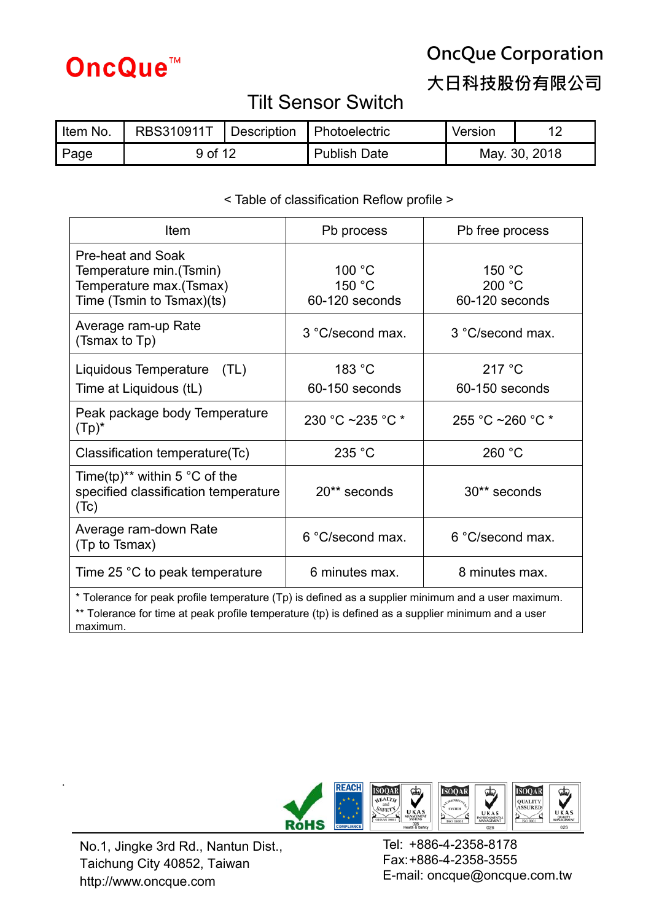

**大日科技股份有限公司**

### Tilt Sensor Switch

| Item No. | <b>RBS310911T</b> | Description | <b>Photoelectric</b> | Version       |  |
|----------|-------------------|-------------|----------------------|---------------|--|
| Page     | 9 of 12           |             | <b>Publish Date</b>  | May. 30, 2018 |  |

### < Table of classification Reflow profile >

| Item                                                                                                                                                                                                                 | Pb process                         | Pb free process                    |  |  |  |
|----------------------------------------------------------------------------------------------------------------------------------------------------------------------------------------------------------------------|------------------------------------|------------------------------------|--|--|--|
| Pre-heat and Soak<br>Temperature min. (Tsmin)<br>Temperature max. (Tsmax)<br>Time (Tsmin to Tsmax)(ts)                                                                                                               | 100 °C<br>150 °C<br>60-120 seconds | 150 °C<br>200 °C<br>60-120 seconds |  |  |  |
| Average ram-up Rate<br>(Tsmax to Tp)                                                                                                                                                                                 | 3 °C/second max.                   | 3 °C/second max.                   |  |  |  |
| Liquidous Temperature<br>(TL)<br>Time at Liquidous (tL)                                                                                                                                                              | 183 °C<br>60-150 seconds           | 217 °C<br>60-150 seconds           |  |  |  |
| Peak package body Temperature<br>$(Tp)^*$                                                                                                                                                                            | 230 °C ~235 °C *                   | 255 °C ~260 °C $*$                 |  |  |  |
| Classification temperature(Tc)                                                                                                                                                                                       | 235 °C                             | 260 °C                             |  |  |  |
| Time(tp) <sup>**</sup> within 5 $\degree$ C of the<br>specified classification temperature<br>(Tc)                                                                                                                   | 20** seconds                       | 30** seconds                       |  |  |  |
| Average ram-down Rate<br>(Tp to Tsmax)                                                                                                                                                                               | 6 °C/second max.                   | 6 °C/second max.                   |  |  |  |
| Time 25 °C to peak temperature                                                                                                                                                                                       | 8 minutes max.<br>6 minutes max.   |                                    |  |  |  |
| * Tolerance for peak profile temperature (Tp) is defined as a supplier minimum and a user maximum.<br>** Tolerance for time at peak profile temperature (tp) is defined as a supplier minimum and a user<br>maximum. |                                    |                                    |  |  |  |



No.1, Jingke 3rd Rd., Nantun Dist., Taichung City 40852, Taiwan http://www.oncque.com

.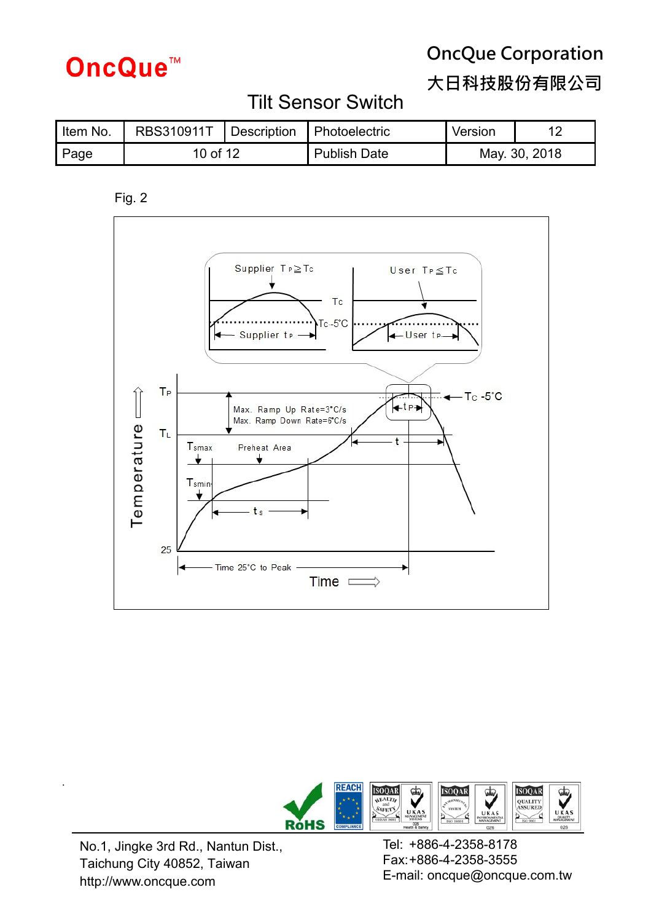# **OncQue™**

# **OncQue Corporation**

**大日科技股份有限公司**

# Tilt Sensor Switch

| Item No. | RBS310911T |  | Description Photoelectric | Version |               |
|----------|------------|--|---------------------------|---------|---------------|
| Page     | 10 of 12   |  | Publish Date              |         | May. 30, 2018 |

Fig. 2





No.1, Jingke 3rd Rd., Nantun Dist., Taichung City 40852, Taiwan http://www.oncque.com

.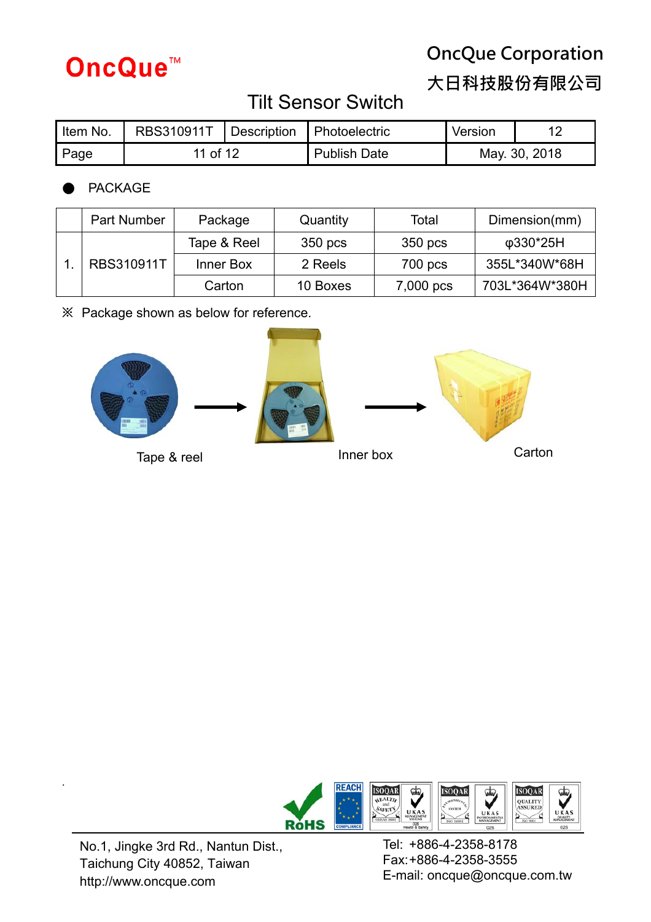

**大日科技股份有限公司**

# Tilt Sensor Switch

| Item No. | RBS310911T |  | Description Photoelectric | Version       |  |
|----------|------------|--|---------------------------|---------------|--|
| Page     | 11 of 12   |  | <b>Publish Date</b>       | May. 30, 2018 |  |

### **PACKAGE**

|                   | Part Number | Package | Quantity | Total         | Dimension(mm)  |
|-------------------|-------------|---------|----------|---------------|----------------|
| <b>RBS310911T</b> | Tape & Reel | 350 pcs | 350 pcs  | φ330*25H      |                |
|                   | Inner Box   | 2 Reels | 700 pcs  | 355L*340W*68H |                |
|                   |             | Carton  | 10 Boxes | 7,000 pcs     | 703L*364W*380H |

**※** Package shown as below for reference.





No.1, Jingke 3rd Rd., Nantun Dist., Taichung City 40852, Taiwan http://www.oncque.com

.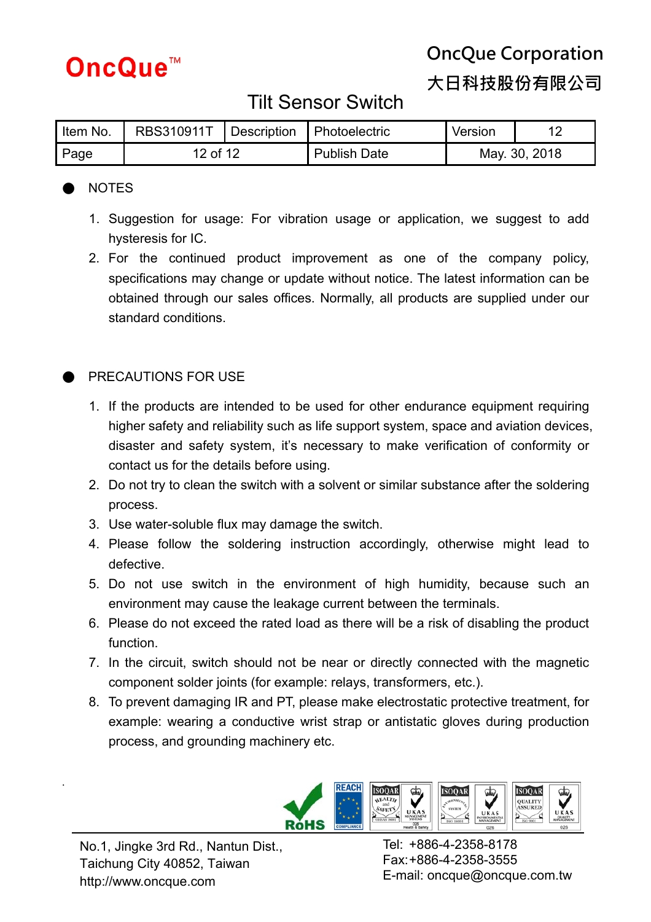

**大日科技股份有限公司**

### Tilt Sensor Switch

| Item No. | RBS310911T   Description |  | Photoelectric       | Version       |  |
|----------|--------------------------|--|---------------------|---------------|--|
| Page     | 12 of 12                 |  | <b>Publish Date</b> | May. 30, 2018 |  |

### ● NOTES

- 1. Suggestion for usage: For vibration usage or application, we suggest to add hysteresis for IC.
- 2. For the continued product improvement as one of the company policy, specifications may change or update without notice. The latest information can be obtained through our sales offices. Normally, all products are supplied under our standard conditions.

### PRECAUTIONS FOR USE

- 1. If the products are intended to be used for other endurance equipment requiring higher safety and reliability such as life support system, space and aviation devices, disaster and safety system, it's necessary to make verification of conformity or contact us for the details before using.
- 2. Do not try to clean the switch with a solvent or similar substance after the soldering process.
- 3. Use water-soluble flux may damage the switch.
- 4. Please follow the soldering instruction accordingly, otherwise might lead to defective.
- 5. Do not use switch in the environment of high humidity, because such an environment may cause the leakage current between the terminals.
- 6. Please do not exceed the rated load as there will be a risk of disabling the product function.
- 7. In the circuit, switch should not be near or directly connected with the magnetic component solder joints (for example: relays, transformers, etc.).
- 8. To prevent damaging IR and PT, please make electrostatic protective treatment, for example: wearing a conductive wrist strap or antistatic gloves during production process, and grounding machinery etc.



.